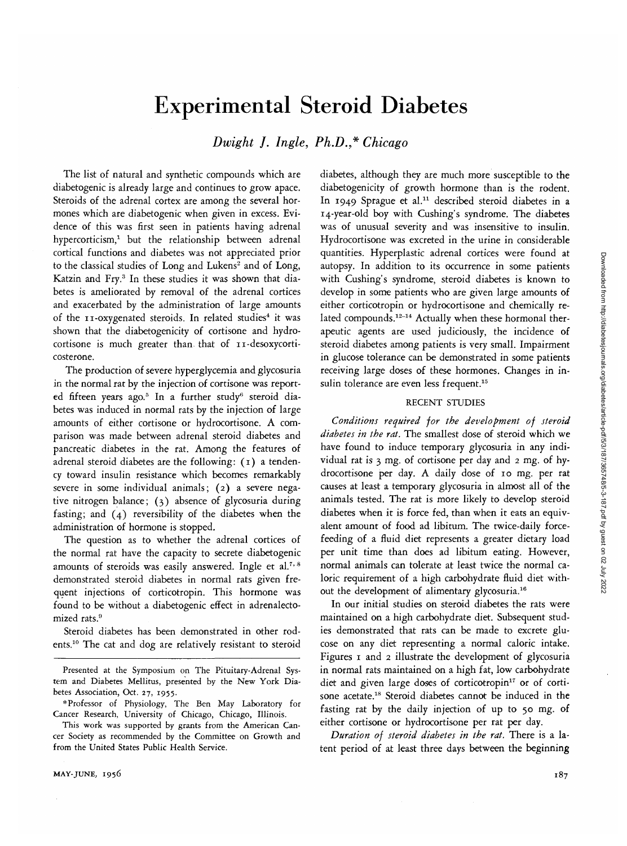# Experimental Steroid Diabetes

*Dwight J. Ingle, Ph.D.,\* Chicago*

The list of natural and synthetic compounds which are diabetogenic is already large and continues to grow apace. Steroids of the adrenal cortex are among the several hormones which are diabetogenic when given in excess. Evidence of this was first seen in patients having adrenal hypercorticism,<sup>1</sup> but the relationship between adrenal cortical functions and diabetes was not appreciated prior to the classical studies of Long and Lukens<sup>2</sup> and of Long, Katzin and Fry.<sup>3</sup> In these studies it was shown that diabetes is ameliorated by removal of the adrenal cortices and exacerbated by the administration of large amounts of the 11-oxygenated steroids. In related studies<sup>4</sup> it was shown that the diabetogenicity of cortisone and hydrocortisone is much greater than that of 11-desoxycorticosterone.

The production of severe hyperglycemia and glycosuria in the normal rat by the injection of cortisone was reported fifteen years ago.<sup>5</sup> In a further study<sup>6</sup> steroid diabetes was induced in normal rats by the injection of large amounts of either cortisone or hydrocortisone. A comparison was made between adrenal steroid diabetes and pancreatic diabetes in the rat. Among the features of adrenal steroid diabetes are the following: (1) a tendency toward insulin resistance which becomes remarkably severe in some individual animals; (2) a severe negative nitrogen balance; (3) absence of glycosuria during fasting; and (4) reversibility of the diabetes when the administration of hormone is stopped.

The question as to whether the adrenal cortices of the normal rat have the capacity to secrete diabetogenic amounts of steroids was easily answered. Ingle et al.<sup>7, 8</sup> demonstrated steroid diabetes in normal rats given frequent injections of corticotropin. This hormone was found to be without a diabetogenic effect in adrenalectomized rats.<sup>9</sup>

Steroid diabetes has been demonstrated in other rodents.10 The cat and dog are relatively resistant to steroid

diabetes, although they are much more susceptible to the diabetogenicity of growth hormone than is the rodent. In 1949 Sprague et al.<sup>11</sup> described steroid diabetes in a 14-year-old boy with Cushing's syndrome. The diabetes was of unusual severity and was insensitive to insulin. Hydrocortisone was excreted in the urine in considerable quantities. Hyperplastic adrenal cortices were found at autopsy. In addition to its occurrence in some patients with Cushing's syndrome, steroid diabetes is known to develop in some patients who are given large amounts of either corticotropin or hydrocortisone and chemically related compounds.<sup>12-14</sup> Actually when these hormonal therapeutic agents are used judiciously, the incidence of steroid diabetes among patients is very small. Impairment in glucose tolerance can be demonstrated in some patients receiving large doses of these hormones. Changes in insulin tolerance are even less frequent.<sup>15</sup>

## RECENT STUDIES

*Conditions required for the development of steroid diabetes in the rat.* The smallest dose of steroid which we have found to induce temporary glycosuria in any individual rat is 3 mg. of cortisone per day and 2 mg. of hydrocortisone per day. A daily dose of 10 mg. per rat causes at least a temporary glycosuria in almost all of the animals tested. The rat is more likely to develop steroid diabetes when *it* is force fed, than when it eats an equivalent amount of food ad libitum. The twice-daily forcefeeding of a fluid diet represents a greater dietary load per unit time than does ad libitum eating. However, normal animals can tolerate at least twice the normal caloric requirement of a high carbohydrate fluid diet without the development of alimentary glycosuria.16

In our initial studies on steroid diabetes the rats were maintained on a high carbohydrate diet. Subsequent studies demonstrated that rats can be made to excrete glucose on any diet representing a normal caloric intake. Figures 1 and 2 illustrate the development of glycosuria in normal rats maintained on a high fat, low carbohydrate diet and given large doses of corticotropin<sup>17</sup> or of cortisone acetate.<sup>18</sup> Steroid diabetes cannot be induced in the fasting rat by the daily injection of up to 50 mg. of either cortisone or hydrocortisone per rat per day.

*Duration of steroid diabetes in the rat.* There is a latent period of at least three days between the beginning

Presented at the Symposium on The Pituitary-Adrenal System and Diabetes Mellitus, presented by the New York Diabetes Association, Oct. 27, 1955.

<sup>\*</sup> Professor of Physiology, The Ben May Laboratory for Cancer Research, University of Chicago, Chicago, Illinois.

This work was supported by grants from the American Cancer Society as recommended by the Committee on Growth and from the United States Public Health Service.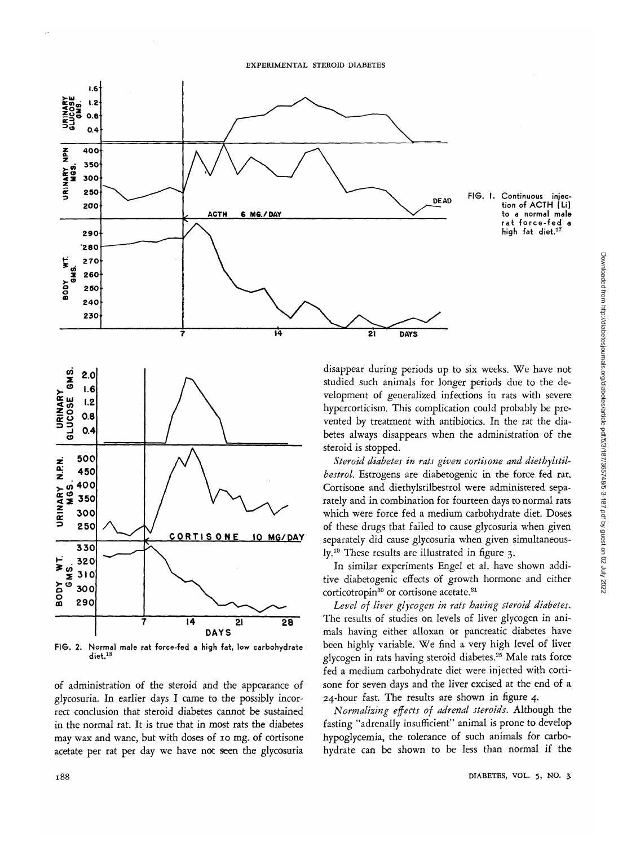





FIG. 2. Normal male rat force-fed a high fat, low carbohydrate diet.<sup>18</sup>

of administration of the steroid and the appearance of glycosuria. In earlier days I came to the possibly incorrect conclusion that steroid diabetes cannot be sustained in the normal rat. It is true that in most rats the diabetes may wax and wane, but with doses of io mg. of cortisone acetate per rat per day we have not seen the glycosuria

Downloaded from http://diabetesjournals.org/diabetes/article-pdf/5/3/187/365748/5-3-187.pdf by guest on 02 July 2022 Downloaded from http://diabetesjournals.org/diabetes/article-pdf/5/3/187/365748/5-3-187.pdf by guest on 02 July 2022

disappear during periods up to six weeks. We have not studied such animals for longer periods due to the development of generalized infections in rats with severe hypercorticism. This complication could probably be prevented by treatment with antibiotics. In the rat the diabetes always disappears when the administration of the steroid is stopped.

*Steroid diabetes in rats given cortisone and diethylstilbestrol.* Estrogens are diabetogenic in the force fed rat. Cortisone and diethylstilbestrol were administered separately and in combination for fourteen days to normal rats which were force fed a medium carbohydrate diet. Doses of these drugs that failed to cause glycosuria when given separately did cause glycosuria when given simultaneously.19 These results are illustrated in figure 3.

In similar experiments Engel et al. have shown additive diabetogenic effects of growth hormone and either corticotropin<sup>30</sup> or cortisone acetate.<sup>31</sup>

*Level of liver glycogen in rats having steroid diabetes.* The results of studies on levels of liver glycogen in animals having either alloxan or pancreatic diabetes have been highly variable. We find a very high level of liver glycogen in rats having steroid diabetes.<sup>25</sup> Male rats force fed a medium carbohydrate diet were injected with cortisone for seven days and the liver excised at the end of a 24-hour fast. The results are shown in figure 4.

*Normalizing effects of adrenal steroids.* Although the fasting "adrenally insufficient" animal is prone to develop hypoglycemia, the tolerance of such animals for carbohydrate can be shown to be less than normal if the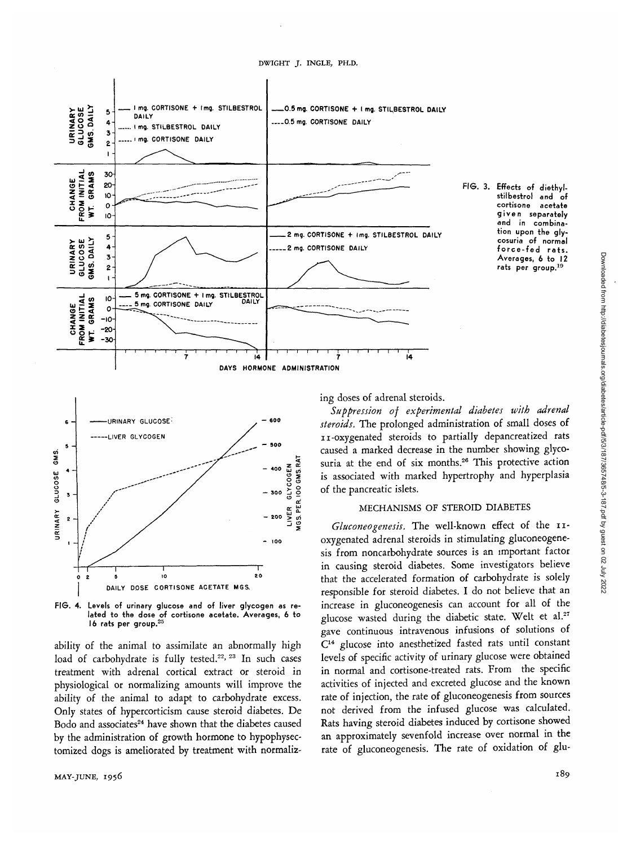stilbestrol and of<br>cortisone acetate cortisone given separately and in combination upon the glycosuria of normal force-fed rats. Averages, 6 to 12 rats per group.19



URINARY GLUCOSE LIVER GLYCOGEN sod **H**<br>**300 2Y**<br>**300 Y**<br>**300 - 400 o g • 200 > (/•) Zi O** 100

20

FIG. 4. Levels of urinary glucose and of liver glycogen as related to the dose of cortisone acetate. Averages, 6 to<br>16 rats per group.<sup>25</sup>

DAILY DDSE CORTISONE ACETATE M6S.

 $\ddot{\mathbf{0}}$ 

ability of the animal to assimilate an abnormally high load of carbohydrate is fully tested.<sup>22, 23</sup> In such cases treatment with adrenal cortical extract or steroid in physiological or normalizing amounts will improve the ability of the animal to adapt to carbohydrate excess. Only states of hypercorticism cause steroid diabetes. De Bodo and associates<sup>24</sup> have shown that the diabetes caused by the administration of growth hormone to hypophysectomized dogs is ameliorated by treatment with normaliz-

6

5

 $\ddot{\phantom{a}}$ 

3

2

URINARY GLUCOSE GMS.

ing doses of adrenal steroids.

*Suppression of experimental diabetes with adrenal steroids.* The prolonged administration of small doses of 11-oxygenated steroids to partially depancreatized rats caused a marked decrease in the number showing glycosuria at the end of six months.<sup>26</sup> This protective action is associated with marked hypertrophy and hyperplasia of the pancreatic islets.

## MECHANISMS OF STEROID DIABETES

Gluconeogenesis. The well-known effect of the IIoxygenated adrenal steroids in stimulating gluconeogenesis from noncarbohydrate sources is an important factor in causing steroid diabetes. Some investigators believe that the accelerated formation of carbohydrate is solely responsible for steroid diabetes. I do not believe that an increase in gluconeogenesis can account for all of the glucose wasted during the diabetic state. Welt et al.<sup>27</sup> gave continuous intravenous infusions of solutions of C14 glucose into anesthetized fasted rats until constant levels of specific activity of urinary glucose were obtained in normal and cortisone-treated rats. From the specific activities of injected and excreted glucose and the known rate of injection, the rate of gluconeogenesis from sources not derived from the infused glucose was calculated. Rats having steroid diabetes induced by cortisone showed an approximately sevenfold increase over normal in the rate of gluconeogenesis. The rate of oxidation of glu-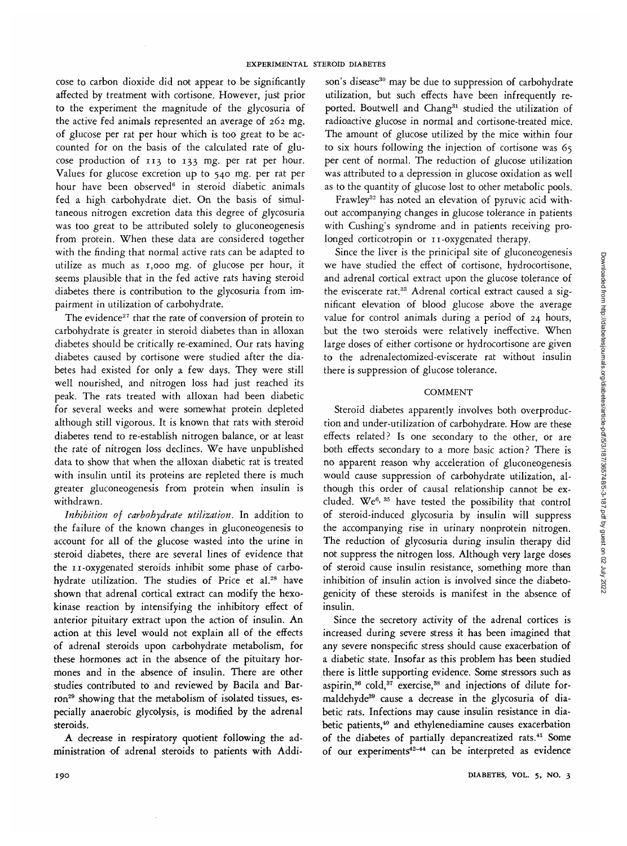cose to carbon dioxide did not appear to be significantly affected by treatment with cortisone. However, just prior to the experiment the magnitude of the glycosuria of the active fed animals represented an average of 262 mg. of glucose per rat per hour which is too great to be accounted for on the basis of the calculated rate of glucose production of 113 to 133 mg. per rat per hour. Values for glucose excretion up to 540 mg. per rat per hour have been observed<sup>6</sup> in steroid diabetic animals fed a high carbohydrate diet. On the basis of simultaneous nitrogen excretion data this degree of glycosuria was too great to be attributed solely to gluconeogenesis from protein. When these data are considered together with the finding that normal active rats can be adapted to utilize as much as 1,000 mg. of glucose per hour, it seems plausible that in the fed active rats having steroid diabetes there is contribution to the glycosuria from impairment in utilization of carbohydrate.

The evidence<sup>27</sup> that the rate of conversion of protein to carbohydrate is greater in steroid diabetes than in alloxan diabetes should be critically re-examined. Our rats having diabetes caused by cortisone were studied after the diabetes had existed for only a few days. They were still well nourished, and nitrogen loss had just reached its peak. The rats treated with alloxan had been diabetic for several weeks and were somewhat protein depleted although still vigorous. It is known that rats with steroid diabetes tend to re-establish nitrogen balance, or at least the rate of nitrogen loss declines. We have unpublished data to show that when the alloxan diabetic rat is treated with insulin until its proteins are repleted there is much greater gluconeogenesis from protein when insulin is withdrawn.

*Inhibition of carbohydrate utilization.* In addition to the failure of the known changes in gluconeogenesis to account for all of the glucose wasted into the urine in steroid diabetes, there are several lines of evidence that the 11-oxygenated steroids inhibit some phase of carbohydrate utilization. The studies of Price et al.<sup>28</sup> have shown that adrenal cortical extract can modify the hexokinase reaction by intensifying the inhibitory effect of anterior pituitary extract upon the action of insulin. An action at this level would not explain all of the effects of adrenal steroids upon carbohydrate metabolism, for these hormones act in the absence of the pituitary hormones and in the absence of insulin. There are other studies contributed to and reviewed by Bacila and Bar- $\frac{1}{2}$  showing that the metabolism of isolated tissues, especially anaerobic glycolysis, is modified by the adrenal steroids.

A decrease in respiratory quotient following the administration of adrenal steroids to patients with Addi-

son's disease<sup>30</sup> may be due to suppression of carbohydrate utilization, but such effects have been infrequently reported. Boutwell and Chang<sup>31</sup> studied the utilization of radioactive glucose in normal and cortisone-treated mice. The amount of glucose utilized by the mice within four to six hours following the injection of cortisone was 65 per cent of normal. The reduction of glucose utilization was attributed to a depression in glucose oxidation as well as to the quantity of glucose lost to other metabolic pools.

Frawley<sup>32</sup> has noted an elevation of pyruvic acid without accompanying changes in glucose tolerance in patients with Cushing's syndrome and in patients receiving prolonged corticotropin or 11-oxygenated therapy.

Since the liver is the prinicipal site of gluconeogenesis we have studied the effect of cortisone, hydrocortisone, and adrenal cortical extract upon the glucose tolerance of the eviscerate rat.<sup>33</sup> Adrenal cortical extract caused a significant elevation of blood glucose above the average value for control animals during a period of 24 hours, but the two steroids were relatively ineffective. When large doses of either cortisone or hydrocortisone are given to the adrenalectomized-eviscerate rat without insulin there is suppression of glucose tolerance.

## **COMMENT**

Steroid diabetes apparently involves both overproduction and under-utilization of carbohydrate. How are these effects related? Is one secondary to the other, or are both effects secondary to a more basic action? There is no apparent reason why acceleration of gluconeogenesis would cause suppression of carbohydrate utilization, although this order of causal relationship cannot be excluded. We<sup>6, 35</sup> have tested the possibility that control of steroid-induced glycosuria by insulin will suppress the accompanying rise in urinary nonprotein nitrogen. The reduction of glycosuria during insulin therapy did not suppress the nitrogen loss. Although very large doses of steroid cause insulin resistance, something more than inhibition of insulin action is involved since the diabetogenicity of these steroids is manifest in the absence of insulin.

Since the secretory activity of the adrenal cortices is increased during severe stress it has been imagined that any severe nonspecific stress should cause exacerbation of a diabetic state. Insofar as this problem has been studied there is little supporting evidence. Some stressors such as aspirin,<sup>36</sup> cold,<sup>37</sup> exercise,<sup>38</sup> and injections of dilute formaldehyde<sup>39</sup> cause a decrease in the glycosuria of diabetic rats. Infections may cause insulin resistance in diabetic patients,40 and ethylenediamine causes exacerbation of the diabetes of partially depancreatized rats.<sup>41</sup> Some of our experiments<sup>42-44</sup> can be interpreted as evidence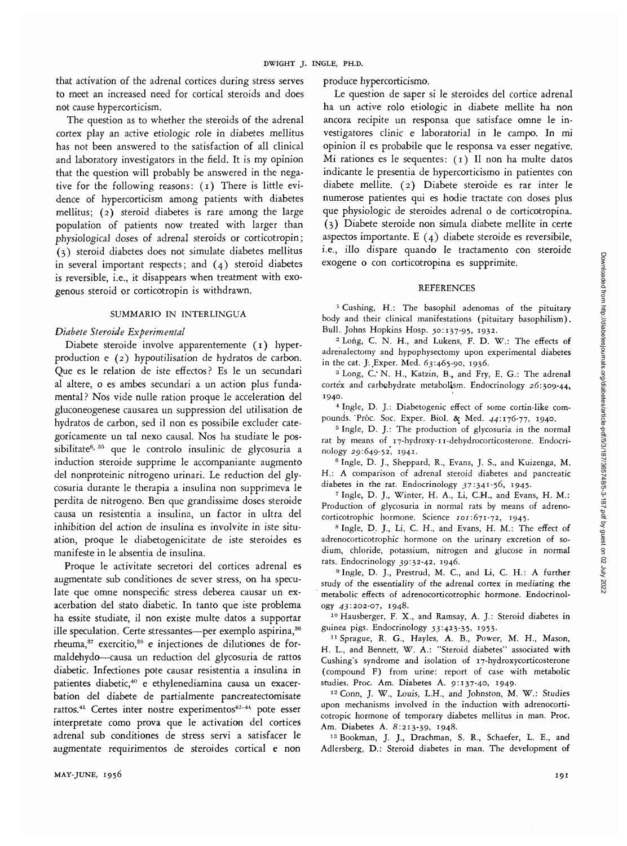that activation of the adrenal cortices during stress serves to meet an increased need for cortical steroids and does not cause hypercorticism.

The question as to whether the steroids of the adrenal cortex play an active etiologic role in diabetes mellitus has not been answered to the satisfaction of all clinical and laboratory investigators in the field. It is my opinion that the question will probably be answered in the negative for the following reasons:  $(1)$  There is little evidence of hypercorticism among patients with diabetes mellitus; (2) steroid diabetes is rare among the large population of patients now treated with larger than physiological doses of adrenal steroids or corticotropin; (3) steroid diabetes does not simulate diabetes mellitus in several important respects; and  $(4)$  steroid diabetes is reversible, i.e., it disappears when treatment with exogenous steroid or corticotropin is withdrawn.

## SUMMARIO IN INTERLINGUA

## *Diabete Steroide Experimental*

Diabete steroide involve apparentemente (1) hyperproduction e (2) hypoutilisation de hydratos de carbon. Que es le relation de iste effectos? Es le un secundari al altere, o es ambes secundari a un action plus fundamental? Nos vide nulle ration proque le acceleration del gluconeogenese causarea un suppression del utilisation de hydratos de carbon, sed il non es possibile excluder categoricamente un tal nexo causal. Nos ha studiate le possibilitate<sup>6, 35</sup> que le controlo insulinic de glycosuria a induction steroide supprime le accompaniante augmento del nonproteinic nitrogeno urinari. Le reduction del glycosuria durante le therapia a insulina non supprimeva le perdita de nitrogeno. Ben que grandissime doses steroide causa un resistentia a insulina, un factor in ultra del inhibition del action de insulina es involvite in iste situation, proque le diabetogenicitate de iste steroides es manifeste in le absentia de insulina.

Proque le activitate secretori del cortices adrenal es augmentate sub conditiones de sever stress, on ha speculate que omne nonspecific stress deberea causar un exacerbation del stato diabetic. In tanto que iste problema ha essite studiate, il non existe multe datos a supportar ille speculation. Certe stressantes—per exemplo aspirina,<sup>36</sup> rheuma,<sup>37</sup> exercitio,<sup>38</sup> e injectiones de dilutiones de formaldehydo—causa un reduction del glycosuria de rattos diabetic. Infectiones pote causar resistentia a insulina in patientes diabetic,<sup>40</sup> e ethylenediamina causa un exacerbation del diabete de partialmente pancreatectomisate rattos.<sup>41</sup> Certes inter nostre experimentos<sup>42-44</sup> pote esser interpretate como prova que le activation del cortices adrenal sub conditiones de stress servi a satisfacer le augmentate requirimentos de steroides cortical e non

produce hypercorticismo.

Le question de saper si le steroides del cortice adrenal ha un active rolo etiologic in diabete mellite ha non ancora recipite un responsa que satisface omne le investigatores clinic e laboratorial in le campo. In mi opinion il es probabile que le responsa va esser negative. Mi rationes es le sequentes: (1) II non ha multe datos indicante le presentia de hypercorticismo in patientes con diabete mellite. (2) Diabete steroide es rar inter le numerose patientes qui es hodie tractate con doses plus que physiologic de steroides adrenal o de corticotropina. (3) Diabete steroide non Simula diabete mellite in certe aspectos importante. E  $(4)$  diabete steroide es reversibile, i.e., illo dispare quando le tractamento con steroide exogene o con corticotropina es supprimite.

#### REFERENCES

<sup>1</sup> Cushing, H.: The basophil adenomas of the pituitary body and their clinical manifestations (pituitary basophilism). Bull. Johns Hopkins Hosp. 50:137-95, 1932.

<sup>2</sup> Long, C. N. H., and Lukens, F. D. W.: The effects of adrenalectomy and hypophysectomy upon experimental diabetes in the cat. J. Exper. Med. 63:465-90, 1936.

<sup>3</sup> Long, C. N. H., Katzin, B., and Fry, E. G.: The adrenal cortex and carbohydrate metabolism. Endocrinology 26:309-44, 1940.

4 Ingle, D. J.: Diabetogenic effect of some cortin-like compounds. 'Proc. Soc. Exper. Biol. & Med. 44:176-77, 1940.

<sup>5</sup> Ingle, D. J.: The production of glycosuria in the normal rat by means of 17-hydroxy-11-dehydrocorticosterone. Endocrinology 29:649-52, 1941. <sup>6</sup>

<sup>6</sup> Ingle, D. J., Sheppard, R., Evans, J. S., and Kuizenga, M. H.: A comparison of adrenal steroid diabetes and pancreatic diabetes in the rat. Endocrinology 37:341-56, 1945.

 Ingle, D. J., Winter, H. A., Li, C.H., and Evans, H. M.: Production of glycosuria in normal rats by means of adrenocorticotrophic hormone. Science 101:671-72, 1945.

<sup>8</sup> Ingle, D. J., Li, C. H., and Evans, H. M.: The effect of adrenocorticotrophic hormone on the urinary excretion of sodium, chloride, potassium, nitrogen and glucose in normal rats. Endocrinology 39:32-42, 1946.

<sup>9</sup> Ingle, D. J., Prestrud, M. C., and Li, C. H.: A further study of the essentiality of the adrenal cortex in mediating the metabolic effects of adrenocorticotrophic hormone. Endocrinology 43:202-07, 1948.

10 Hausberger, F. X., and Ramsay, A. J.: Steroid diabetes in guinea pigs. Endocrinology 53:423-35, 1953.

<sup>11</sup> Sprague, R. G., Hayles, A. B., Power, M. H., Mason, H. L., and Bennett, W. A.: "Steroid diabetes" associated with Cushing's syndrome and isolation of 17-hydroxycorticosterone (compound F) from urine: report of case with metabolic studies. Proc. Am. Diabetes A. 9:137-40, 1949.

12 Conn, J. W., Louis, L.H., and Johnston, M. W.: Studies upon mechanisms involved in the induction with adrenocorticotropic hormone of temporary diabetes mellitus in man. Proc. Am. Diabetes A. 8:213-39, 1948.

13 Bookman, J. J., Drachman, S. R., Schaefer, L. E., and Adlersberg, D.: Steroid diabetes in man. The development of Downloaded from http://diabetesjournals.org/diabetes/article-pdf/5/3/187/365748/5-3-187.pdf by guest on 02 July 2022 Downloaded from http://diabetesjournals.org/diabetes/article-pdf/5/3/187/365748/5-3-187.pdf by guest on 02 July 2022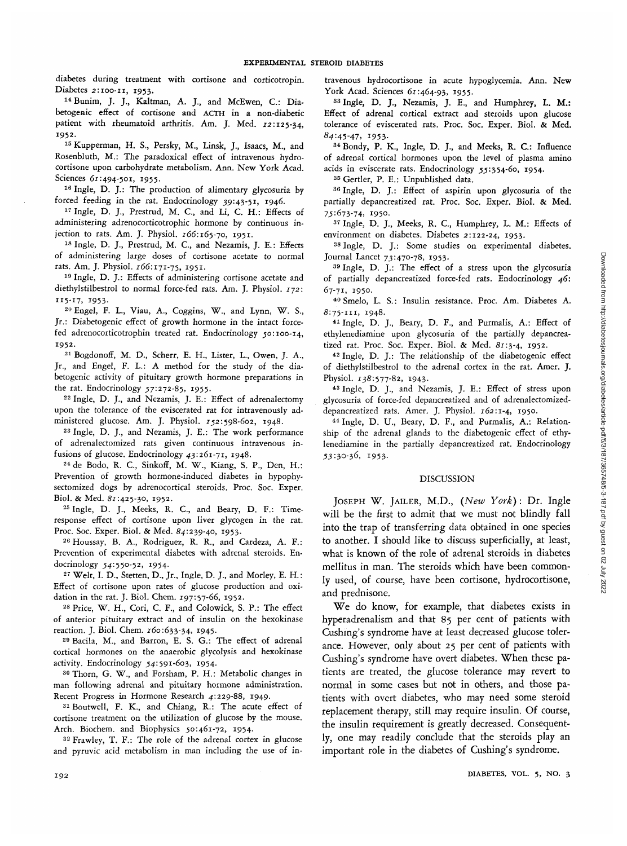diabetes during treatment with cortisone and corticotropin.

**Diabetes 2:100-11, 1953.** 14Bunim, J. J., Kaltman, A. J., and McEwen, C: Diabetogenic effect of cortisone and ACTH in a non-diabetic patient with rheumatoid arthritis. Am. J. Med. 12:125-34, **1952.**

15 Kupperman, H. S., Persky, M., Linsk, J., Isaacs, M., and Rosenbluth, M.: The paradoxical effect of intravenous hydrocortisone upon carbohydrate metabolism. Ann. New York Acad. Sciences 61:494-501, 1955.

16 Ingle, D. J.: The production of alimentary glycosuria by forced feeding in the rat. Endocrinology 39:43-51, 1946.

<sup>17</sup> Ingle, D. J., Prestrud, M. C., and Li, C. H.: Effects of administering adrenocorticotrophic hormone by continuous injection to rats. Am. J. Physiol.  $166:165-70$ , 1951.

18 Ingle, D. J., Prestrud, M. C, and Nezamis, J. E.: Effects of administering large doses of cortisone acetate to normal rats. Am. J. Physiol. 166:171-75, 1951.

19 Ingle, D. J.: Effects of administering cortisone acetate and diethylstilbestrol to normal force-fed rats. Am. J. Physiol. 172:

115-17, 1953.<br><sup>20</sup> Engel, F. L., Viau, A., Coggins, W., and Lynn, W. S., Jr.: Diabetogenic effect of growth hormone in the intact forcefed adrenocorticotrophin treated rat. Endocrinology ^0:100-14, 1952.

2 1 Bogdonoff, M. D., Scherr, E. H., Lister, L., Owen, J. A., Jr., and Engel, F. L.: A method for the study of the diabetogenic activity of pituitary growth hormone preparations in the rat. Endocrinology 57:272-85, 1955.

22 Ingle, D. J., and Nezamis, J. E.: Effect of adrenalectomy upon the tolerance of the eviscerated rat for intravenously administered glucose. Am. J. Physiol. 752:598-602, 1948.

23 Ingle, D. J., and Nezamis, J. E.: The work performance of adrenalectomized rats given continuous intravenous infusions of glucose. Endocrinology 43:261-71, 1948.

24 de Bodo, R. C, Sinkoff, M. W., Kiang, S. P., Den, H.: Prevention of growth hormone-induced diabetes in hypophysectomized dogs by adrenocortical steroids. Proc. Soc. Exper. Biol. & Med. 81:425-30, 1952.

<sup>25</sup> Ingle, D. J., Meeks, R. C., and Beary, D. F.: Timeresponse effect of cortisone upon liver glycogen in the rat. Proc. Soc. Exper. Biol. & Med. 84:239-40, 1953.

26 Houssay, B. A., Rodriguez, R. R., and Cardeza, A. F.: Prevention of experimental diabetes with adrenal steroids. Endocrinology 54:550-52, 1954.

27 Welt, I. D., Stetten, D., Jr., Ingle, D. J., and Morley, E. H.: Effect of cortisone upon rates of glucose production and oxidation in the rat. J. Biol. Chem. 197:57-66, 1952.

28 Price, W . H., Cori, C. F., and Colowick, S. P.: The effect of anterior pituitary extract and of insulin on the hexokinase reaction. J. Biol. Chem. 160:633-34, 1945.

<sup>29</sup> Bacila, M., and Barron, E. S. G.: The effect of adrenal cortical hormones on the anaerobic glycolysis and hexokinase activity. Endocrinology 54:591-603, 1954.

30 Thorn, G. W., and Forsham, P. H.: Metabolic changes in man following adrenal and pituitary hormone administration. Recent Progress in Hormone Research 4:229-88, 1949.

31 Boutwell, F. K., and Chiang, R.: The acute effect of cortisone treatment on the utilization of glucose by the mouse. Arch. Biochem. and Biophysics 50:461-72, 1954.

32 Frawley, T. F.: The role of the adrenal cortex in glucose and pyruvic acid metabolism in man including the use of intravenous hydrocortisone in acute hypoglycemia. Ann. New York Acad. Sciences 61:464-93, 1955.

<sup>33</sup> Ingle, D. J., Nezamis, J. E., and Humphrey, L. M.: Effect of adrenal cortical extract and steroids upon glucose tolerance of eviscerated rats. Proc. Soc. Exper. Biol. & Med. 84:45-47, 1953.

<sup>34</sup> Bondy, P. K., Ingle, D. J., and Meeks, R. C.: Influence of adrenal cortical hormones upon the level of plasma amino acids in eviscerate rats. Endocrinology 5:354-60, 1954.

35 Gertler, P. E.: Unpublished data.

36 Ingle, D. J.: Effect of aspirin upon glycosuria of the partially depancreatized rat. Proc. Soc. Exper. Biol. & Med. 75:673-74, 1950.

<sup>37</sup> Ingle, D. J., Meeks, R. C., Humphrey, L. M.: Effects of environment on diabetes. Diabetes 2:122-24, 1953.

<sup>38</sup> Ingle, D. J.: Some studies on experimental diabetes. Journal Lancet 73:470-78, 1953.

39 Ingle, D. J.: The effect of a stress upon the glycosuria of partially depancreatized force-fed rats. Endocrinology *46:* 67-71, 1950.

<sup>40</sup> Smelo, L. S.: Insulin resistance. Proc. Am. Diabetes A. 8:75-111, 1948.

4 1 Ingle, D. J., Beary, D. F., and Purmalis, A.: Effect of ethylenediamine upon glycosuria of the partially depancreatized rat. Proc. Soc. Exper. Biol. & Med. 87:3-4, 1952.

<sup>42</sup> Ingle, D. J.: The relationship of the diabetogenic effect of diethylstilbestrol to the adrenal cortex in the rat. Amer. J. Physiol. 138:577-82, 1943.

4 3 Ingle, D. J., and Nezamis, J. E.: Effect of stress upon glycosuria of force-fed depancreatized and of adrenalectomizeddepancreatized rats. Amer. J. Physiol. 762:1-4, 1950.

44 Ingle, D. U., Beary, D. F., and Purmalis, A.: Relationship of the adrenal glands to the diabetogenic effect of ethylenediamine in the partially depancreatized rat. Endocrinology 53:30-36, 1953-

#### DISCUSSION

JOSEPH W. JAILER, M.D., *(New York)* : Dr. Ingle will be the first to admit that we must not blindly fall into the trap of transferring data obtained in one species to another. I should like to discuss superficially, at least, what is known of the role of adrenal steroids in diabetes mellitus in man. The steroids which have been commonly used, of course, have been cortisone, hydrocortisone, and prednisone.

We do know, for example, that diabetes exists in hyperadrenalism and that 85 per cent of patients with Cushing's syndrome have at least decreased glucose tolerance. However, only about 25 per cent of patients with Cushing's syndrome have overt diabetes. When these patients are treated, the glucose tolerance may revert to normal in some cases but not in others, and those patients with overt diabetes, who may need some steroid replacement therapy, still may require insulin. Of course, the insulin requirement is greatly decreased. Consequently, one may readily conclude that the steroids play an important role in the diabetes of Cushing's syndrome.